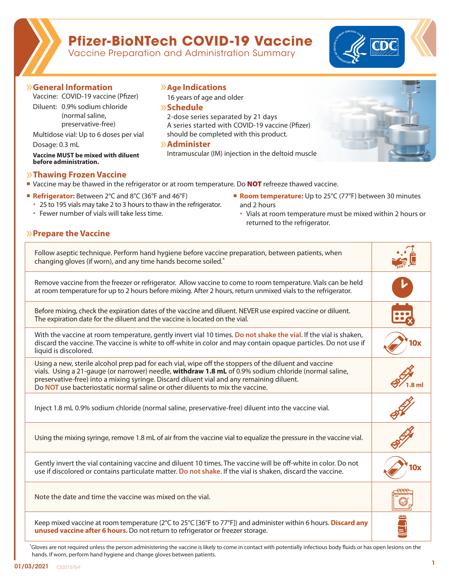# **Pfizer-BioNTech COVID-19 Vaccine**

Ů**Age Indications**

16 years of age and older

2-dose series separated by 21 days

A series started with COVID-19 vaccine (Pfizer) should be completed with this product.

Intramuscular (IM) injection in the deltoid muscle

Vaccine Preparation and Administration Summary

Ů**Schedule**

Ů**Administer**



### Ů**General Information**

Vaccine: COVID-19 vaccine (Pfizer)

Diluent: 0.9% sodium chloride (normal saline, preservative-free)

Multidose vial: Up to 6 doses per vial

Dosage: 0.3 mL

**Vaccine MUST be mixed with diluent before administration.**

### Ů**Thawing Frozen Vaccine**

Ů**Prepare the Vaccine**

- If Vaccine may be thawed in the refrigerator or at room temperature. Do NOT refreeze thawed vaccine.
- **Refrigerator:** Between 2°C and 8°C (36°F and 46°F)
	- 25 to 195 vials may take 2 to 3 hours to thaw in the refrigerator.
	- Fewer number of vials will take less time.
- **Room temperature:** Up to 25°C (77°F) between 30 minutes and 2 hours
	- Vials at room temperature must be mixed within 2 hours or returned to the refrigerator.

| Follow aseptic technique. Perform hand hygiene before vaccine preparation, between patients, when<br>changing gloves (if worn), and any time hands become soiled.                                                                                                                                                                                                                            |  |
|----------------------------------------------------------------------------------------------------------------------------------------------------------------------------------------------------------------------------------------------------------------------------------------------------------------------------------------------------------------------------------------------|--|
| Remove vaccine from the freezer or refrigerator. Allow vaccine to come to room temperature. Vials can be held<br>at room temperature for up to 2 hours before mixing. After 2 hours, return unmixed vials to the refrigerator.                                                                                                                                                               |  |
| Before mixing, check the expiration dates of the vaccine and diluent. NEVER use expired vaccine or diluent.<br>The expiration date for the diluent and the vaccine is located on the vial.                                                                                                                                                                                                   |  |
| With the vaccine at room temperature, gently invert vial 10 times. Do not shake the vial. If the vial is shaken,<br>discard the vaccine. The vaccine is white to off-white in color and may contain opaque particles. Do not use if<br>liquid is discolored.                                                                                                                                 |  |
| Using a new, sterile alcohol prep pad for each vial, wipe off the stoppers of the diluent and vaccine<br>vials. Using a 21-gauge (or narrower) needle, withdraw 1.8 mL of 0.9% sodium chloride (normal saline,<br>preservative-free) into a mixing syringe. Discard diluent vial and any remaining diluent.<br>Do NOT use bacteriostatic normal saline or other diluents to mix the vaccine. |  |
| Inject 1.8 mL 0.9% sodium chloride (normal saline, preservative-free) diluent into the vaccine vial.                                                                                                                                                                                                                                                                                         |  |
| Using the mixing syringe, remove 1.8 mL of air from the vaccine vial to equalize the pressure in the vaccine vial.                                                                                                                                                                                                                                                                           |  |
| Gently invert the vial containing vaccine and diluent 10 times. The vaccine will be off-white in color. Do not<br>use if discolored or contains particulate matter. Do not shake. If the vial is shaken, discard the vaccine.                                                                                                                                                                |  |
| Note the date and time the vaccine was mixed on the vial.                                                                                                                                                                                                                                                                                                                                    |  |
| Keep mixed vaccine at room temperature (2°C to 25°C [36°F to 77°F]) and administer within 6 hours. <b>Discard any</b><br>unused vaccine after 6 hours. Do not return to refrigerator or freezer storage.                                                                                                                                                                                     |  |

\*Gloves are not required unless the person administering the vaccine is likely to come in contact with potentially infectious body fluids or has open lesions on the hands. If worn, perform hand hygiene and change gloves between patients.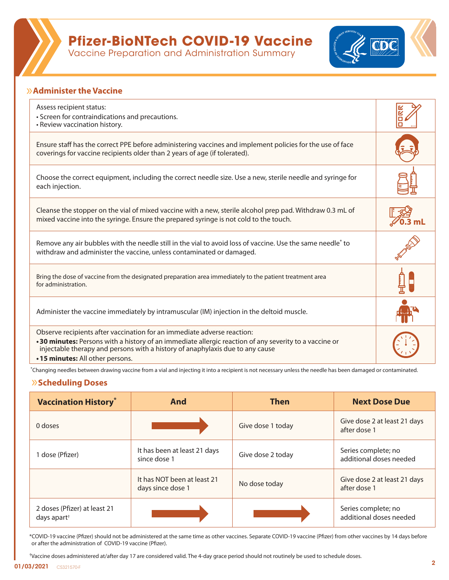

## **Pfizer-BioNTech COVID-19 Vaccine**

Vaccine Preparation and Administration Summary



## Ů**Administer the Vaccine**

| Assess recipient status:<br>• Screen for contraindications and precautions.<br>• Review vaccination history.                                                                                                                                                                                         |  |
|------------------------------------------------------------------------------------------------------------------------------------------------------------------------------------------------------------------------------------------------------------------------------------------------------|--|
| Ensure staff has the correct PPE before administering vaccines and implement policies for the use of face<br>coverings for vaccine recipients older than 2 years of age (if tolerated).                                                                                                              |  |
| Choose the correct equipment, including the correct needle size. Use a new, sterile needle and syringe for<br>each injection.                                                                                                                                                                        |  |
| Cleanse the stopper on the vial of mixed vaccine with a new, sterile alcohol prep pad. Withdraw 0.3 mL of<br>mixed vaccine into the syringe. Ensure the prepared syringe is not cold to the touch.                                                                                                   |  |
| Remove any air bubbles with the needle still in the vial to avoid loss of vaccine. Use the same needle <sup>*</sup> to<br>withdraw and administer the vaccine, unless contaminated or damaged.                                                                                                       |  |
| Bring the dose of vaccine from the designated preparation area immediately to the patient treatment area<br>for administration.                                                                                                                                                                      |  |
| Administer the vaccine immediately by intramuscular (IM) injection in the deltoid muscle.                                                                                                                                                                                                            |  |
| Observe recipients after vaccination for an immediate adverse reaction:<br>.30 minutes: Persons with a history of an immediate allergic reaction of any severity to a vaccine or<br>injectable therapy and persons with a history of anaphylaxis due to any cause<br>.15 minutes: All other persons. |  |

\*Changing needles between drawing vaccine from a vial and injecting it into a recipient is not necessary unless the needle has been damaged or contaminated.

## Ů**Scheduling Doses**

| <b>Vaccination History</b> *                                               | And                                              | <b>Then</b>       | <b>Next Dose Due</b>                           |
|----------------------------------------------------------------------------|--------------------------------------------------|-------------------|------------------------------------------------|
| 0 doses                                                                    |                                                  | Give dose 1 today | Give dose 2 at least 21 days<br>after dose 1   |
| dose (Pfizer)                                                              | It has been at least 21 days<br>since dose 1     | Give dose 2 today | Series complete; no<br>additional doses needed |
|                                                                            | It has NOT been at least 21<br>days since dose 1 | No dose today     | Give dose 2 at least 21 days<br>after dose 1   |
| 2 doses (Pfizer) at least 21<br>days apart <sup><math>\dagger</math></sup> |                                                  |                   | Series complete; no<br>additional doses needed |

\*COVID-19 vaccine (Pfizer) should not be administered at the same time as other vaccines. Separate COVID-19 vaccine (Pfizer) from other vaccines by 14 days before or after the administration of COVID-19 vaccine (Pfizer).

†Vaccine doses administered at/after day 17 are considered valid. The 4-day grace period should not routinely be used to schedule doses.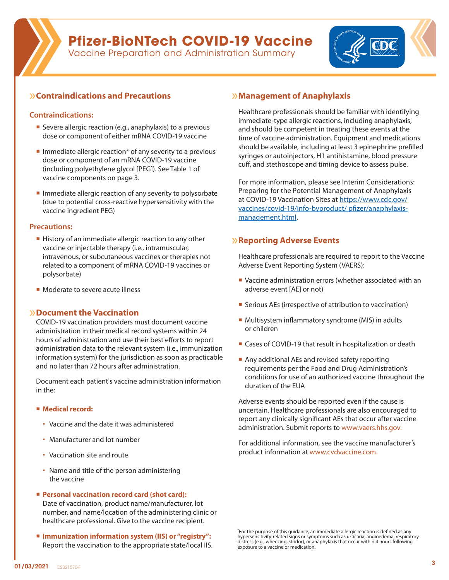# **Pfizer-BioNTech COVID-19 Vaccine**

Vaccine Preparation and Administration Summary



## Ů**Contraindications and Precautions**

#### **Contraindications:**

- Severe allergic reaction (e.g., anaphylaxis) to a previous dose or component of either mRNA COVID-19 vaccine
- Immediate allergic reaction\* of any severity to a previous dose or component of an mRNA COVID-19 vaccine (including polyethylene glycol [PEG]). See Table 1 of vaccine components on page 3.
- $\blacksquare$  Immediate allergic reaction of any severity to polysorbate (due to potential cross-reactive hypersensitivity with the vaccine ingredient PEG)

#### **Precautions:**

- History of an immediate allergic reaction to any other vaccine or injectable therapy (i.e., intramuscular, intravenous, or subcutaneous vaccines or therapies not related to a component of mRNA COVID-19 vaccines or polysorbate)
- Moderate to severe acute illness

#### Ů**Document the Vaccination**

COVID-19 vaccination providers must document vaccine administration in their medical record systems within 24 hours of administration and use their best efforts to report administration data to the relevant system (i.e., immunization information system) for the jurisdiction as soon as practicable and no later than 72 hours after administration.

Document each patient's vaccine administration information in the:

#### **Medical record:**

- Vaccine and the date it was administered
- Manufacturer and lot number
- Vaccination site and route
- Name and title of the person administering the vaccine
- Personal vaccination record card (shot card): Date of vaccination, product name/manufacturer, lot number, and name/location of the administering clinic or healthcare professional. Give to the vaccine recipient.
- Immunization information system (IIS) or "registry": Report the vaccination to the appropriate state/local IIS.

#### Ů**Management of Anaphylaxis**

Healthcare professionals should be familiar with identifying immediate-type allergic reactions, including anaphylaxis, and should be competent in treating these events at the time of vaccine administration. Equipment and medications should be available, including at least 3 epinephrine prefilled syringes or autoinjectors, H1 antihistamine, blood pressure cuff, and stethoscope and timing device to assess pulse.

For more information, please see Interim Considerations: Preparing for the Potential Management of Anaphylaxis at COVID-19 Vaccination Sites at [https://www.cdc.gov/](https://www.cdc.gov/vaccines/covid-19/info-byproduct/ pfizer/anaphylaxis-management.html) [vaccines/covid-19/info-byproduct/ pfizer/anaphylaxis](https://www.cdc.gov/vaccines/covid-19/info-byproduct/ pfizer/anaphylaxis-management.html)[management.html](https://www.cdc.gov/vaccines/covid-19/info-byproduct/ pfizer/anaphylaxis-management.html).

### Ů**Reporting Adverse Events**

Healthcare professionals are required to report to the Vaccine Adverse Event Reporting System (VAERS):

- Vaccine administration errors (whether associated with an adverse event [AE] or not)
- **Serious AEs (irrespective of attribution to vaccination)**
- **Multisystem inflammatory syndrome (MIS) in adults** or children
- Cases of COVID-19 that result in hospitalization or death
- Any additional AEs and revised safety reporting requirements per the Food and Drug Administration's conditions for use of an authorized vaccine throughout the duration of the EUA

Adverse events should be reported even if the cause is uncertain. Healthcare professionals are also encouraged to report any clinically significant AEs that occur after vaccine administration. Submit reports to [www.vaers.hhs.gov.](https://vaers.hhs.gov) 

For additional information, see the vaccine manufacturer's product information at [www.cvdvaccine.com.](http://www.cvdvaccine.com)

<sup>\*</sup>For the purpose of this guidance, an immediate allergic reaction is defined as any hypersensitivity-related signs or symptoms such as urticaria, angioedema, respiratory distress (e.g., wheezing, stridor), or anaphylaxis that occur within 4 hours following exposure to a vaccine or medication.